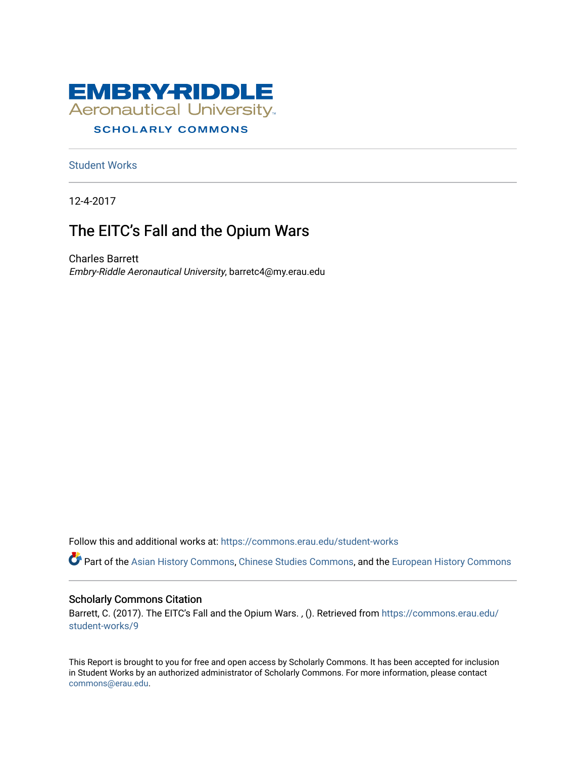

# **SCHOLARLY COMMONS**

[Student Works](https://commons.erau.edu/student-works)

12-4-2017

# The EITC's Fall and the Opium Wars

Charles Barrett Embry-Riddle Aeronautical University, barretc4@my.erau.edu

Follow this and additional works at: [https://commons.erau.edu/student-works](https://commons.erau.edu/student-works?utm_source=commons.erau.edu%2Fstudent-works%2F9&utm_medium=PDF&utm_campaign=PDFCoverPages) 

Part of the [Asian History Commons](http://network.bepress.com/hgg/discipline/491?utm_source=commons.erau.edu%2Fstudent-works%2F9&utm_medium=PDF&utm_campaign=PDFCoverPages), [Chinese Studies Commons,](http://network.bepress.com/hgg/discipline/1081?utm_source=commons.erau.edu%2Fstudent-works%2F9&utm_medium=PDF&utm_campaign=PDFCoverPages) and the [European History Commons](http://network.bepress.com/hgg/discipline/492?utm_source=commons.erau.edu%2Fstudent-works%2F9&utm_medium=PDF&utm_campaign=PDFCoverPages)

## Scholarly Commons Citation

Barrett, C. (2017). The EITC's Fall and the Opium Wars. , (). Retrieved from [https://commons.erau.edu/](https://commons.erau.edu/student-works/9?utm_source=commons.erau.edu%2Fstudent-works%2F9&utm_medium=PDF&utm_campaign=PDFCoverPages) [student-works/9](https://commons.erau.edu/student-works/9?utm_source=commons.erau.edu%2Fstudent-works%2F9&utm_medium=PDF&utm_campaign=PDFCoverPages) 

This Report is brought to you for free and open access by Scholarly Commons. It has been accepted for inclusion in Student Works by an authorized administrator of Scholarly Commons. For more information, please contact [commons@erau.edu](mailto:commons@erau.edu).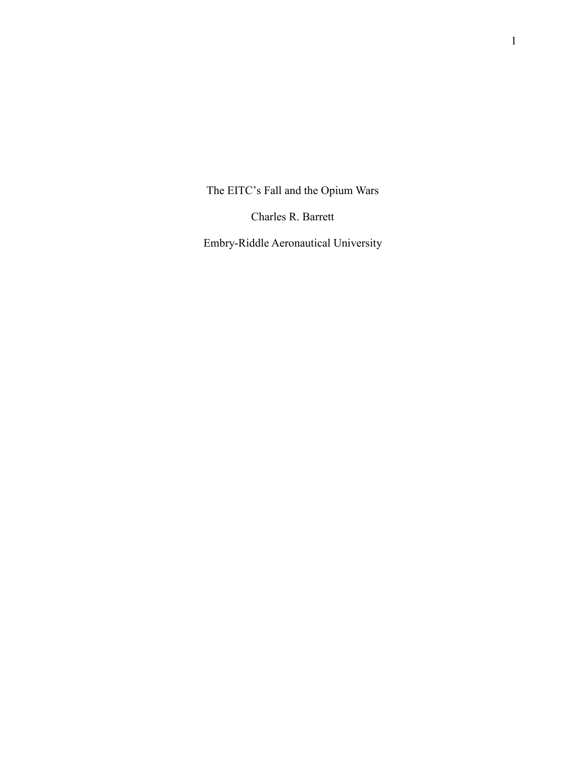The EITC's Fall and the Opium Wars

Charles R. Barrett

Embry-Riddle Aeronautical University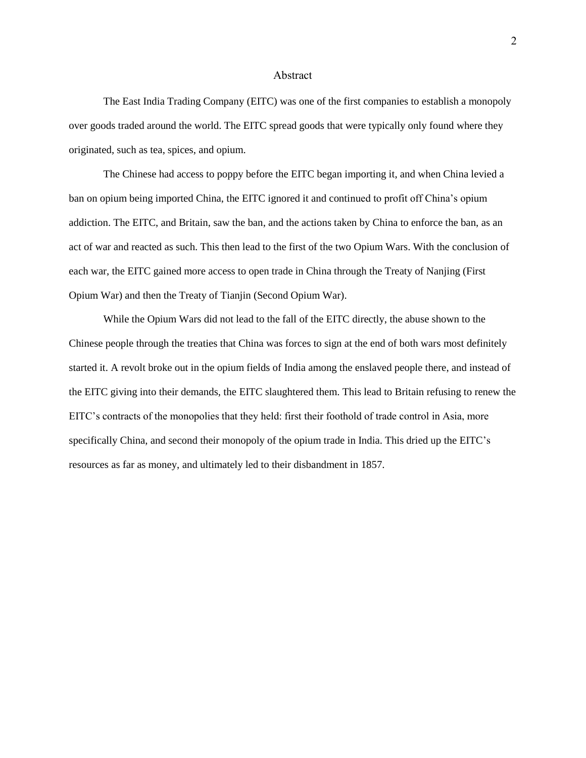#### Abstract

The East India Trading Company (EITC) was one of the first companies to establish a monopoly over goods traded around the world. The EITC spread goods that were typically only found where they originated, such as tea, spices, and opium.

The Chinese had access to poppy before the EITC began importing it, and when China levied a ban on opium being imported China, the EITC ignored it and continued to profit off China's opium addiction. The EITC, and Britain, saw the ban, and the actions taken by China to enforce the ban, as an act of war and reacted as such. This then lead to the first of the two Opium Wars. With the conclusion of each war, the EITC gained more access to open trade in China through the Treaty of Nanjing (First Opium War) and then the Treaty of Tianjin (Second Opium War).

While the Opium Wars did not lead to the fall of the EITC directly, the abuse shown to the Chinese people through the treaties that China was forces to sign at the end of both wars most definitely started it. A revolt broke out in the opium fields of India among the enslaved people there, and instead of the EITC giving into their demands, the EITC slaughtered them. This lead to Britain refusing to renew the EITC's contracts of the monopolies that they held: first their foothold of trade control in Asia, more specifically China, and second their monopoly of the opium trade in India. This dried up the EITC's resources as far as money, and ultimately led to their disbandment in 1857.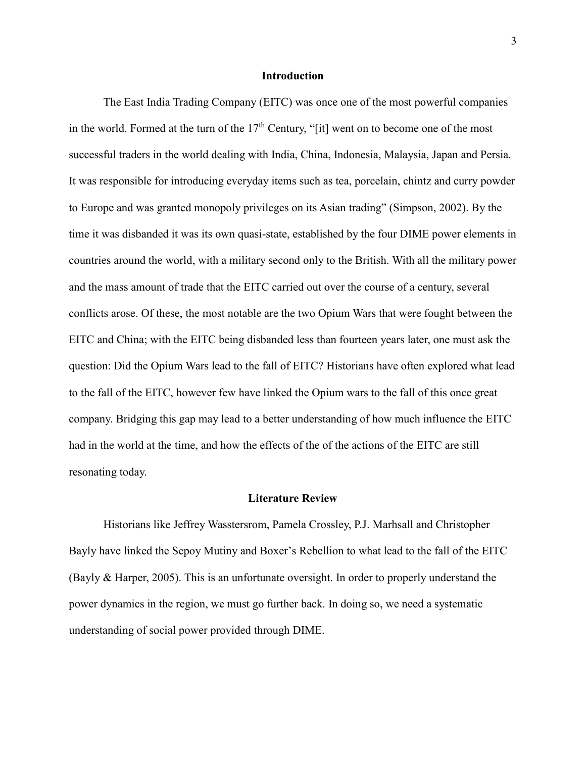### **Introduction**

The East India Trading Company (EITC) was once one of the most powerful companies in the world. Formed at the turn of the  $17<sup>th</sup>$  Century, "[it] went on to become one of the most successful traders in the world dealing with India, China, Indonesia, Malaysia, Japan and Persia. It was responsible for introducing everyday items such as tea, porcelain, chintz and curry powder to Europe and was granted monopoly privileges on its Asian trading" (Simpson, 2002). By the time it was disbanded it was its own quasi-state, established by the four DIME power elements in countries around the world, with a military second only to the British. With all the military power and the mass amount of trade that the EITC carried out over the course of a century, several conflicts arose. Of these, the most notable are the two Opium Wars that were fought between the EITC and China; with the EITC being disbanded less than fourteen years later, one must ask the question: Did the Opium Wars lead to the fall of EITC? Historians have often explored what lead to the fall of the EITC, however few have linked the Opium wars to the fall of this once great company. Bridging this gap may lead to a better understanding of how much influence the EITC had in the world at the time, and how the effects of the of the actions of the EITC are still resonating today.

#### **Literature Review**

Historians like Jeffrey Wasstersrom, Pamela Crossley, P.J. Marhsall and Christopher Bayly have linked the Sepoy Mutiny and Boxer's Rebellion to what lead to the fall of the EITC (Bayly & Harper, 2005). This is an unfortunate oversight. In order to properly understand the power dynamics in the region, we must go further back. In doing so, we need a systematic understanding of social power provided through DIME.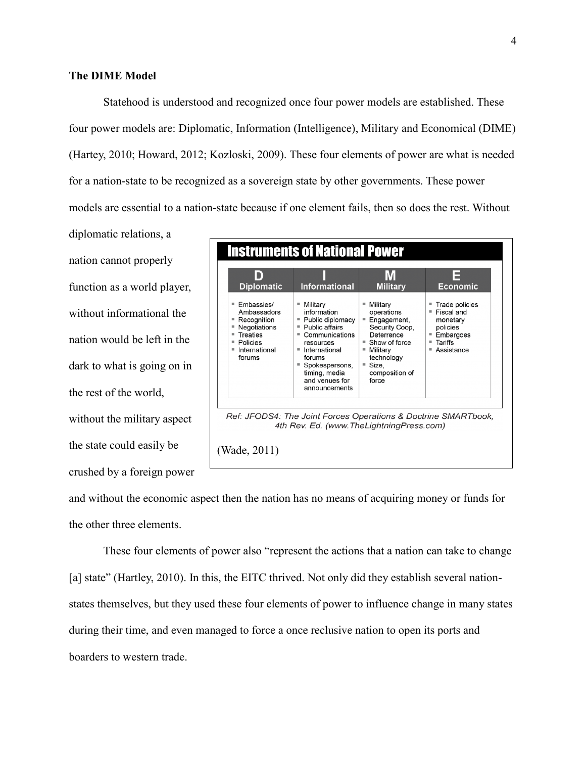Statehood is understood and recognized once four power models are established. These four power models are: Diplomatic, Information (Intelligence), Military and Economical (DIME) (Hartey, 2010; Howard, 2012; Kozloski, 2009). These four elements of power are what is needed for a nation-state to be recognized as a sovereign state by other governments. These power models are essential to a nation-state because if one element fails, then so does the rest. Without

diplomatic relations, a nation cannot properly function as a world player, without informational the nation would be left in the dark to what is going on in the rest of the world, without the military aspect the state could easily be crushed by a foreign power



and without the economic aspect then the nation has no means of acquiring money or funds for the other three elements.

These four elements of power also "represent the actions that a nation can take to change [a] state" (Hartley, 2010). In this, the EITC thrived. Not only did they establish several nationstates themselves, but they used these four elements of power to influence change in many states during their time, and even managed to force a once reclusive nation to open its ports and boarders to western trade.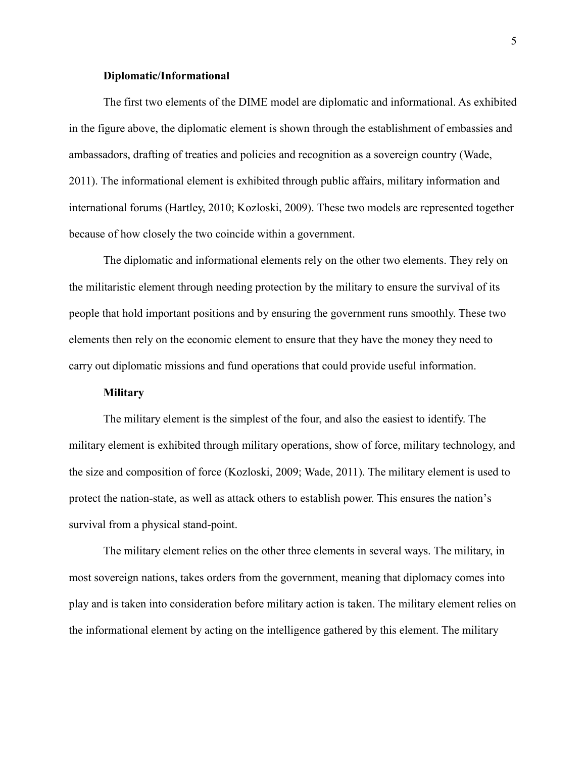#### **Diplomatic/Informational**

The first two elements of the DIME model are diplomatic and informational. As exhibited in the figure above, the diplomatic element is shown through the establishment of embassies and ambassadors, drafting of treaties and policies and recognition as a sovereign country (Wade, 2011). The informational element is exhibited through public affairs, military information and international forums (Hartley, 2010; Kozloski, 2009). These two models are represented together because of how closely the two coincide within a government.

The diplomatic and informational elements rely on the other two elements. They rely on the militaristic element through needing protection by the military to ensure the survival of its people that hold important positions and by ensuring the government runs smoothly. These two elements then rely on the economic element to ensure that they have the money they need to carry out diplomatic missions and fund operations that could provide useful information.

# **Military**

The military element is the simplest of the four, and also the easiest to identify. The military element is exhibited through military operations, show of force, military technology, and the size and composition of force (Kozloski, 2009; Wade, 2011). The military element is used to protect the nation-state, as well as attack others to establish power. This ensures the nation's survival from a physical stand-point.

The military element relies on the other three elements in several ways. The military, in most sovereign nations, takes orders from the government, meaning that diplomacy comes into play and is taken into consideration before military action is taken. The military element relies on the informational element by acting on the intelligence gathered by this element. The military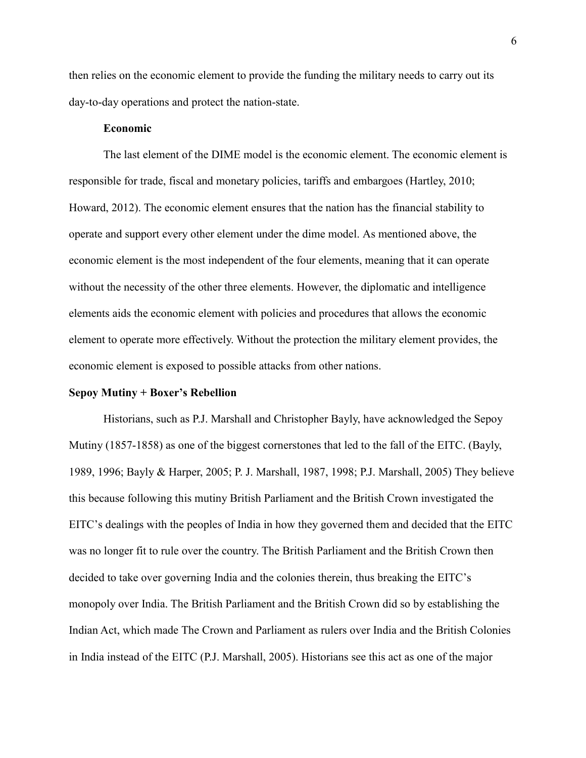then relies on the economic element to provide the funding the military needs to carry out its day-to-day operations and protect the nation-state.

# **Economic**

The last element of the DIME model is the economic element. The economic element is responsible for trade, fiscal and monetary policies, tariffs and embargoes (Hartley, 2010; Howard, 2012). The economic element ensures that the nation has the financial stability to operate and support every other element under the dime model. As mentioned above, the economic element is the most independent of the four elements, meaning that it can operate without the necessity of the other three elements. However, the diplomatic and intelligence elements aids the economic element with policies and procedures that allows the economic element to operate more effectively. Without the protection the military element provides, the economic element is exposed to possible attacks from other nations.

#### **Sepoy Mutiny + Boxer's Rebellion**

Historians, such as P.J. Marshall and Christopher Bayly, have acknowledged the Sepoy Mutiny (1857-1858) as one of the biggest cornerstones that led to the fall of the EITC. (Bayly, 1989, 1996; Bayly & Harper, 2005; P. J. Marshall, 1987, 1998; P.J. Marshall, 2005) They believe this because following this mutiny British Parliament and the British Crown investigated the EITC's dealings with the peoples of India in how they governed them and decided that the EITC was no longer fit to rule over the country. The British Parliament and the British Crown then decided to take over governing India and the colonies therein, thus breaking the EITC's monopoly over India. The British Parliament and the British Crown did so by establishing the Indian Act, which made The Crown and Parliament as rulers over India and the British Colonies in India instead of the EITC (P.J. Marshall, 2005). Historians see this act as one of the major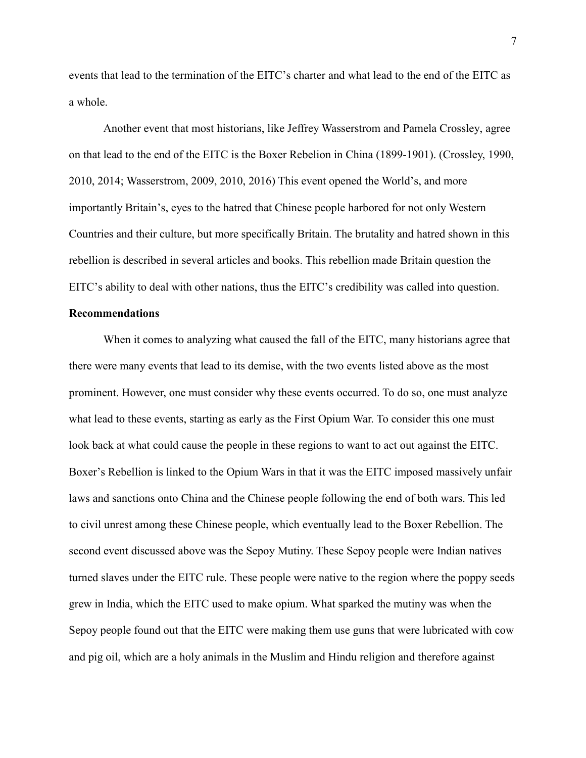events that lead to the termination of the EITC's charter and what lead to the end of the EITC as a whole.

Another event that most historians, like Jeffrey Wasserstrom and Pamela Crossley, agree on that lead to the end of the EITC is the Boxer Rebelion in China (1899-1901). (Crossley, 1990, 2010, 2014; Wasserstrom, 2009, 2010, 2016) This event opened the World's, and more importantly Britain's, eyes to the hatred that Chinese people harbored for not only Western Countries and their culture, but more specifically Britain. The brutality and hatred shown in this rebellion is described in several articles and books. This rebellion made Britain question the EITC's ability to deal with other nations, thus the EITC's credibility was called into question.

# **Recommendations**

When it comes to analyzing what caused the fall of the EITC, many historians agree that there were many events that lead to its demise, with the two events listed above as the most prominent. However, one must consider why these events occurred. To do so, one must analyze what lead to these events, starting as early as the First Opium War. To consider this one must look back at what could cause the people in these regions to want to act out against the EITC. Boxer's Rebellion is linked to the Opium Wars in that it was the EITC imposed massively unfair laws and sanctions onto China and the Chinese people following the end of both wars. This led to civil unrest among these Chinese people, which eventually lead to the Boxer Rebellion. The second event discussed above was the Sepoy Mutiny. These Sepoy people were Indian natives turned slaves under the EITC rule. These people were native to the region where the poppy seeds grew in India, which the EITC used to make opium. What sparked the mutiny was when the Sepoy people found out that the EITC were making them use guns that were lubricated with cow and pig oil, which are a holy animals in the Muslim and Hindu religion and therefore against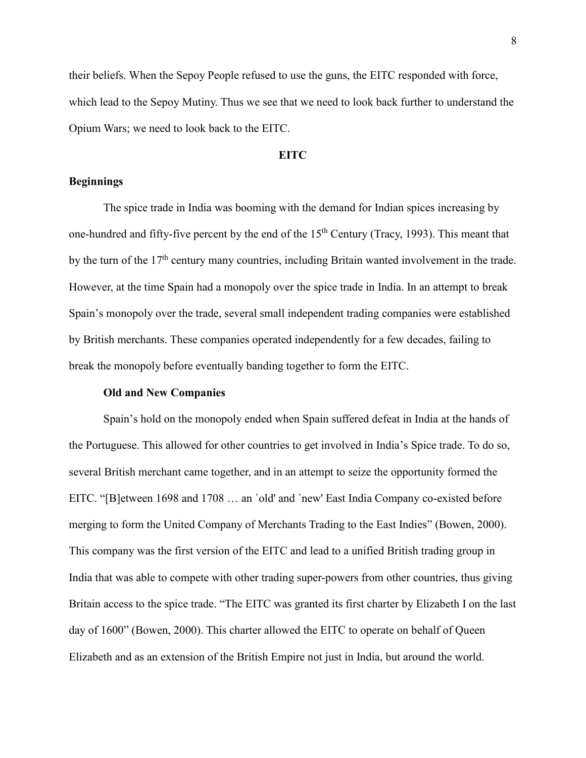their beliefs. When the Sepoy People refused to use the guns, the EITC responded with force, which lead to the Sepoy Mutiny. Thus we see that we need to look back further to understand the Opium Wars; we need to look back to the EITC.

## **EITC**

# **Beginnings**

The spice trade in India was booming with the demand for Indian spices increasing by one-hundred and fifty-five percent by the end of the  $15<sup>th</sup>$  Century (Tracy, 1993). This meant that by the turn of the  $17<sup>th</sup>$  century many countries, including Britain wanted involvement in the trade. However, at the time Spain had a monopoly over the spice trade in India. In an attempt to break Spain's monopoly over the trade, several small independent trading companies were established by British merchants. These companies operated independently for a few decades, failing to break the monopoly before eventually banding together to form the EITC.

# **Old and New Companies**

Spain's hold on the monopoly ended when Spain suffered defeat in India at the hands of the Portuguese. This allowed for other countries to get involved in India's Spice trade. To do so, several British merchant came together, and in an attempt to seize the opportunity formed the EITC. "[B]etween 1698 and 1708 … an `old' and `new' East India Company co-existed before merging to form the United Company of Merchants Trading to the East Indies" (Bowen, 2000). This company was the first version of the EITC and lead to a unified British trading group in India that was able to compete with other trading super-powers from other countries, thus giving Britain access to the spice trade. "The EITC was granted its first charter by Elizabeth I on the last day of 1600" (Bowen, 2000). This charter allowed the EITC to operate on behalf of Queen Elizabeth and as an extension of the British Empire not just in India, but around the world.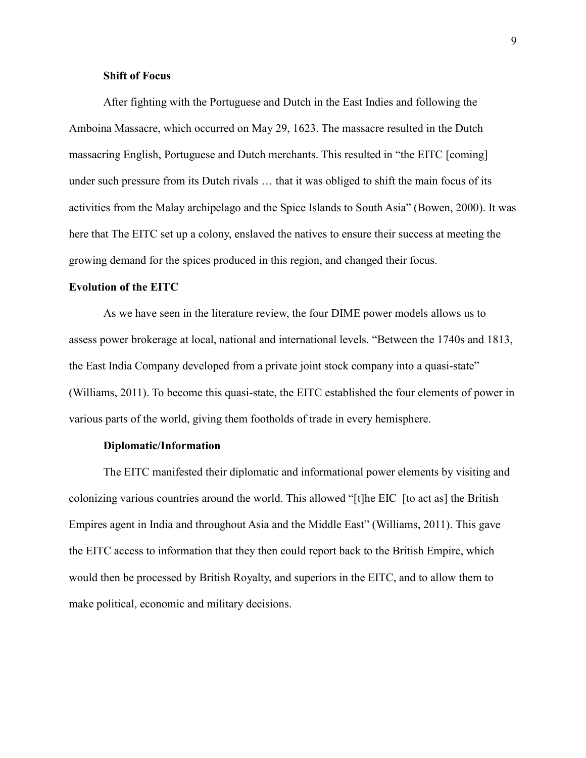# **Shift of Focus**

After fighting with the Portuguese and Dutch in the East Indies and following the Amboina Massacre, which occurred on May 29, 1623. The massacre resulted in the Dutch massacring English, Portuguese and Dutch merchants. This resulted in "the EITC [coming] under such pressure from its Dutch rivals … that it was obliged to shift the main focus of its activities from the Malay archipelago and the Spice Islands to South Asia" (Bowen, 2000). It was here that The EITC set up a colony, enslaved the natives to ensure their success at meeting the growing demand for the spices produced in this region, and changed their focus.

# **Evolution of the EITC**

As we have seen in the literature review, the four DIME power models allows us to assess power brokerage at local, national and international levels. "Between the 1740s and 1813, the East India Company developed from a private joint stock company into a quasi-state" (Williams, 2011). To become this quasi-state, the EITC established the four elements of power in various parts of the world, giving them footholds of trade in every hemisphere.

## **Diplomatic/Information**

The EITC manifested their diplomatic and informational power elements by visiting and colonizing various countries around the world. This allowed "[t]he EIC [to act as] the British Empires agent in India and throughout Asia and the Middle East" (Williams, 2011). This gave the EITC access to information that they then could report back to the British Empire, which would then be processed by British Royalty, and superiors in the EITC, and to allow them to make political, economic and military decisions.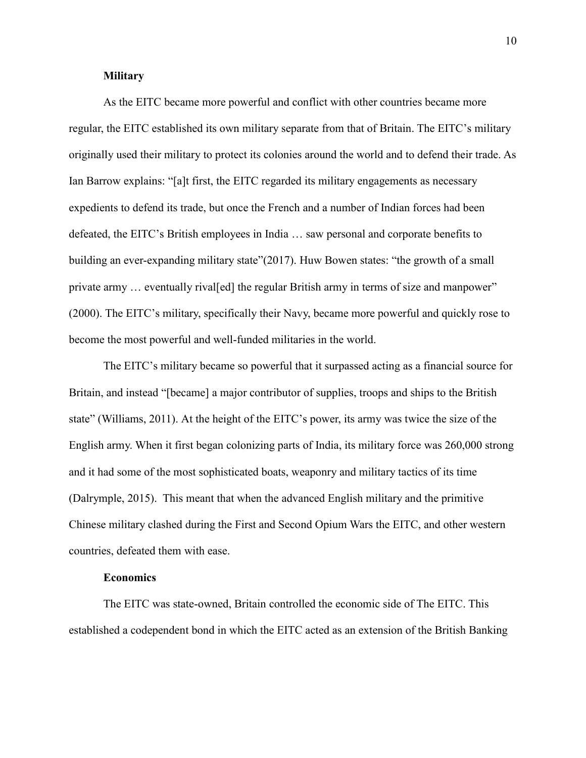#### **Military**

As the EITC became more powerful and conflict with other countries became more regular, the EITC established its own military separate from that of Britain. The EITC's military originally used their military to protect its colonies around the world and to defend their trade. As Ian Barrow explains: "[a]t first, the EITC regarded its military engagements as necessary expedients to defend its trade, but once the French and a number of Indian forces had been defeated, the EITC's British employees in India … saw personal and corporate benefits to building an ever-expanding military state"(2017). Huw Bowen states: "the growth of a small private army … eventually rival[ed] the regular British army in terms of size and manpower" (2000). The EITC's military, specifically their Navy, became more powerful and quickly rose to become the most powerful and well-funded militaries in the world.

The EITC's military became so powerful that it surpassed acting as a financial source for Britain, and instead "[became] a major contributor of supplies, troops and ships to the British state" (Williams, 2011). At the height of the EITC's power, its army was twice the size of the English army. When it first began colonizing parts of India, its military force was 260,000 strong and it had some of the most sophisticated boats, weaponry and military tactics of its time (Dalrymple, 2015). This meant that when the advanced English military and the primitive Chinese military clashed during the First and Second Opium Wars the EITC, and other western countries, defeated them with ease.

## **Economics**

The EITC was state-owned, Britain controlled the economic side of The EITC. This established a codependent bond in which the EITC acted as an extension of the British Banking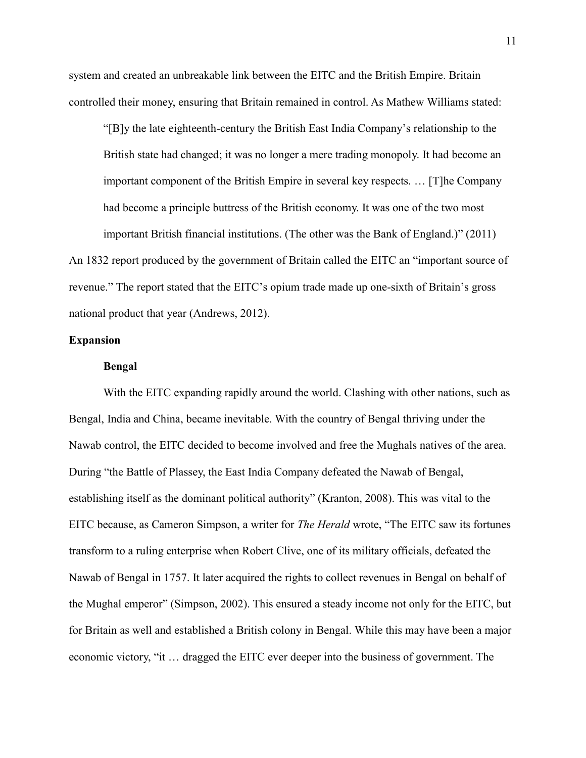system and created an unbreakable link between the EITC and the British Empire. Britain controlled their money, ensuring that Britain remained in control. As Mathew Williams stated:

"[B]y the late eighteenth-century the British East India Company's relationship to the British state had changed; it was no longer a mere trading monopoly. It had become an important component of the British Empire in several key respects. … [T]he Company had become a principle buttress of the British economy. It was one of the two most important British financial institutions. (The other was the Bank of England.)" (2011)

An 1832 report produced by the government of Britain called the EITC an "important source of revenue." The report stated that the EITC's opium trade made up one-sixth of Britain's gross national product that year (Andrews, 2012).

#### **Expansion**

#### **Bengal**

With the EITC expanding rapidly around the world. Clashing with other nations, such as Bengal, India and China, became inevitable. With the country of Bengal thriving under the Nawab control, the EITC decided to become involved and free the Mughals natives of the area. During "the Battle of Plassey, the East India Company defeated the Nawab of Bengal, establishing itself as the dominant political authority" (Kranton, 2008). This was vital to the EITC because, as Cameron Simpson, a writer for *The Herald* wrote, "The EITC saw its fortunes transform to a ruling enterprise when Robert Clive, one of its military officials, defeated the Nawab of Bengal in 1757. It later acquired the rights to collect revenues in Bengal on behalf of the Mughal emperor" (Simpson, 2002). This ensured a steady income not only for the EITC, but for Britain as well and established a British colony in Bengal. While this may have been a major economic victory, "it … dragged the EITC ever deeper into the business of government. The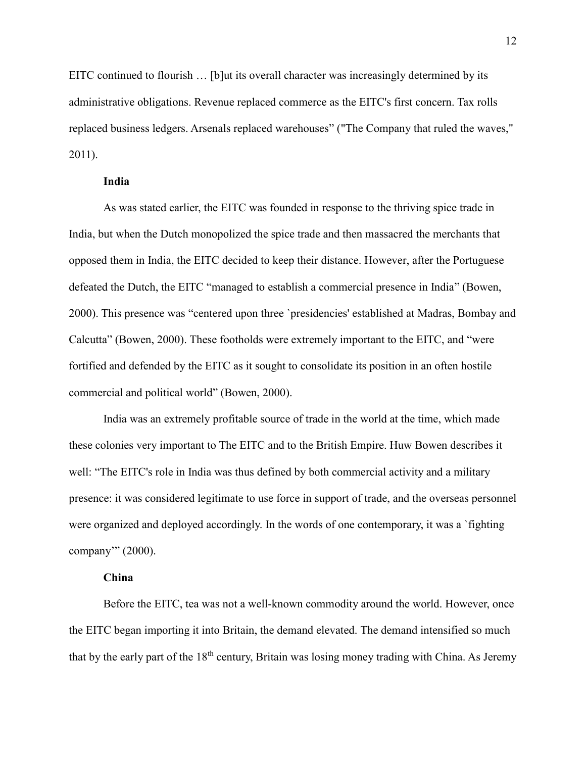EITC continued to flourish … [b]ut its overall character was increasingly determined by its administrative obligations. Revenue replaced commerce as the EITC's first concern. Tax rolls replaced business ledgers. Arsenals replaced warehouses" ("The Company that ruled the waves," 2011).

#### **India**

As was stated earlier, the EITC was founded in response to the thriving spice trade in India, but when the Dutch monopolized the spice trade and then massacred the merchants that opposed them in India, the EITC decided to keep their distance. However, after the Portuguese defeated the Dutch, the EITC "managed to establish a commercial presence in India" (Bowen, 2000). This presence was "centered upon three `presidencies' established at Madras, Bombay and Calcutta" (Bowen, 2000). These footholds were extremely important to the EITC, and "were fortified and defended by the EITC as it sought to consolidate its position in an often hostile commercial and political world" (Bowen, 2000).

India was an extremely profitable source of trade in the world at the time, which made these colonies very important to The EITC and to the British Empire. Huw Bowen describes it well: "The EITC's role in India was thus defined by both commercial activity and a military presence: it was considered legitimate to use force in support of trade, and the overseas personnel were organized and deployed accordingly. In the words of one contemporary, it was a `fighting company'" (2000).

## **China**

Before the EITC, tea was not a well-known commodity around the world. However, once the EITC began importing it into Britain, the demand elevated. The demand intensified so much that by the early part of the  $18<sup>th</sup>$  century, Britain was losing money trading with China. As Jeremy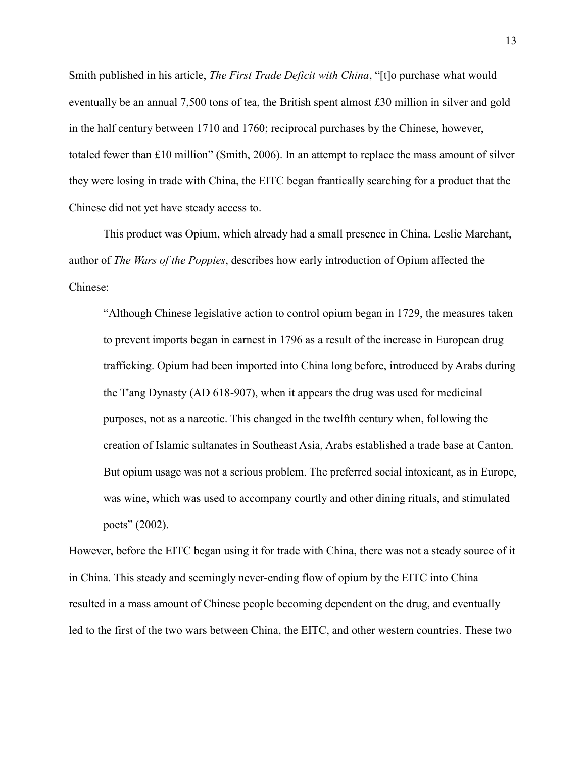Smith published in his article, *The First Trade Deficit with China*, "[t]o purchase what would eventually be an annual 7,500 tons of tea, the British spent almost £30 million in silver and gold in the half century between 1710 and 1760; reciprocal purchases by the Chinese, however, totaled fewer than £10 million" (Smith, 2006). In an attempt to replace the mass amount of silver they were losing in trade with China, the EITC began frantically searching for a product that the Chinese did not yet have steady access to.

This product was Opium, which already had a small presence in China. Leslie Marchant, author of *The Wars of the Poppies*, describes how early introduction of Opium affected the Chinese:

"Although Chinese legislative action to control opium began in 1729, the measures taken to prevent imports began in earnest in 1796 as a result of the increase in European drug trafficking. Opium had been imported into China long before, introduced by Arabs during the T'ang Dynasty (AD 618-907), when it appears the drug was used for medicinal purposes, not as a narcotic. This changed in the twelfth century when, following the creation of Islamic sultanates in Southeast Asia, Arabs established a trade base at Canton. But opium usage was not a serious problem. The preferred social intoxicant, as in Europe, was wine, which was used to accompany courtly and other dining rituals, and stimulated poets" (2002).

However, before the EITC began using it for trade with China, there was not a steady source of it in China. This steady and seemingly never-ending flow of opium by the EITC into China resulted in a mass amount of Chinese people becoming dependent on the drug, and eventually led to the first of the two wars between China, the EITC, and other western countries. These two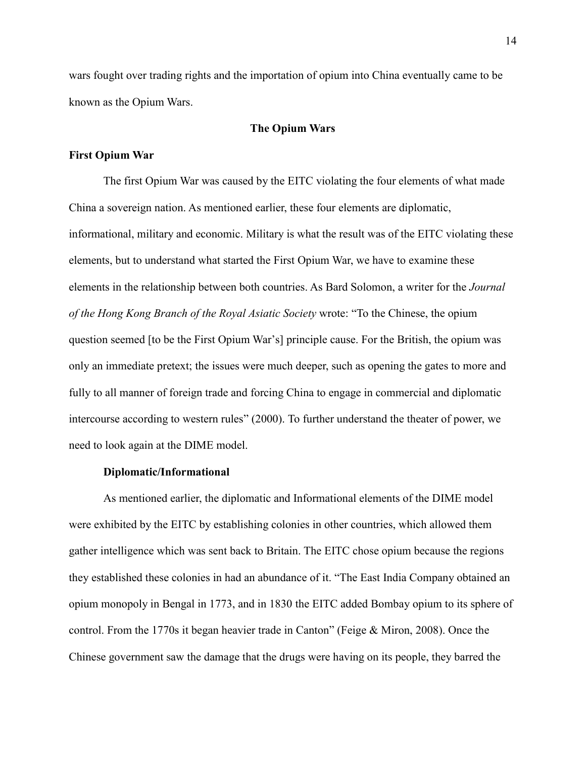wars fought over trading rights and the importation of opium into China eventually came to be known as the Opium Wars.

# **The Opium Wars**

# **First Opium War**

The first Opium War was caused by the EITC violating the four elements of what made China a sovereign nation. As mentioned earlier, these four elements are diplomatic, informational, military and economic. Military is what the result was of the EITC violating these elements, but to understand what started the First Opium War, we have to examine these elements in the relationship between both countries. As Bard Solomon, a writer for the *Journal of the Hong Kong Branch of the Royal Asiatic Society* wrote: "To the Chinese, the opium question seemed [to be the First Opium War's] principle cause. For the British, the opium was only an immediate pretext; the issues were much deeper, such as opening the gates to more and fully to all manner of foreign trade and forcing China to engage in commercial and diplomatic intercourse according to western rules" (2000). To further understand the theater of power, we need to look again at the DIME model.

## **Diplomatic/Informational**

As mentioned earlier, the diplomatic and Informational elements of the DIME model were exhibited by the EITC by establishing colonies in other countries, which allowed them gather intelligence which was sent back to Britain. The EITC chose opium because the regions they established these colonies in had an abundance of it. "The East India Company obtained an opium monopoly in Bengal in 1773, and in 1830 the EITC added Bombay opium to its sphere of control. From the 1770s it began heavier trade in Canton" (Feige & Miron, 2008). Once the Chinese government saw the damage that the drugs were having on its people, they barred the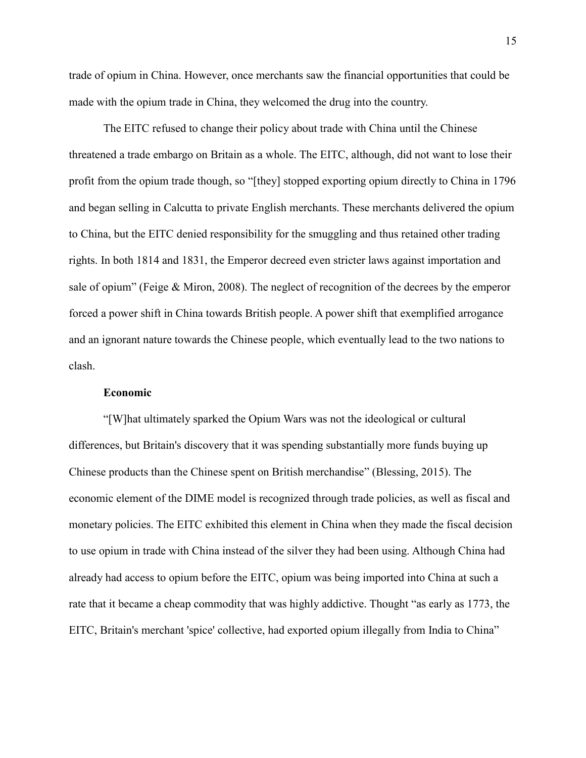trade of opium in China. However, once merchants saw the financial opportunities that could be made with the opium trade in China, they welcomed the drug into the country.

The EITC refused to change their policy about trade with China until the Chinese threatened a trade embargo on Britain as a whole. The EITC, although, did not want to lose their profit from the opium trade though, so "[they] stopped exporting opium directly to China in 1796 and began selling in Calcutta to private English merchants. These merchants delivered the opium to China, but the EITC denied responsibility for the smuggling and thus retained other trading rights. In both 1814 and 1831, the Emperor decreed even stricter laws against importation and sale of opium" (Feige & Miron, 2008). The neglect of recognition of the decrees by the emperor forced a power shift in China towards British people. A power shift that exemplified arrogance and an ignorant nature towards the Chinese people, which eventually lead to the two nations to clash.

#### **Economic**

"[W]hat ultimately sparked the Opium Wars was not the ideological or cultural differences, but Britain's discovery that it was spending substantially more funds buying up Chinese products than the Chinese spent on British merchandise" (Blessing, 2015). The economic element of the DIME model is recognized through trade policies, as well as fiscal and monetary policies. The EITC exhibited this element in China when they made the fiscal decision to use opium in trade with China instead of the silver they had been using. Although China had already had access to opium before the EITC, opium was being imported into China at such a rate that it became a cheap commodity that was highly addictive. Thought "as early as 1773, the EITC, Britain's merchant 'spice' collective, had exported opium illegally from India to China"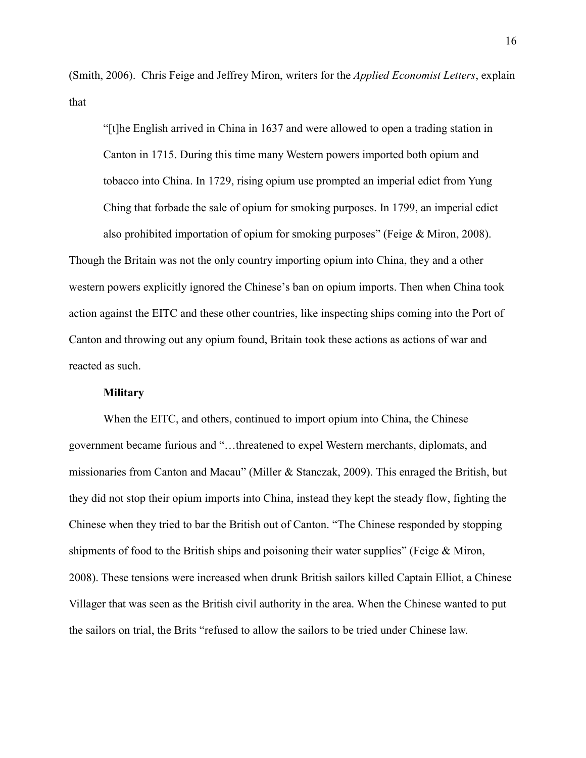(Smith, 2006). Chris Feige and Jeffrey Miron, writers for the *Applied Economist Letters*, explain that

"[t]he English arrived in China in 1637 and were allowed to open a trading station in Canton in 1715. During this time many Western powers imported both opium and tobacco into China. In 1729, rising opium use prompted an imperial edict from Yung Ching that forbade the sale of opium for smoking purposes. In 1799, an imperial edict also prohibited importation of opium for smoking purposes" (Feige & Miron, 2008). Though the Britain was not the only country importing opium into China, they and a other

western powers explicitly ignored the Chinese's ban on opium imports. Then when China took action against the EITC and these other countries, like inspecting ships coming into the Port of Canton and throwing out any opium found, Britain took these actions as actions of war and reacted as such.

#### **Military**

When the EITC, and others, continued to import opium into China, the Chinese government became furious and "…threatened to expel Western merchants, diplomats, and missionaries from Canton and Macau" (Miller & Stanczak, 2009). This enraged the British, but they did not stop their opium imports into China, instead they kept the steady flow, fighting the Chinese when they tried to bar the British out of Canton. "The Chinese responded by stopping shipments of food to the British ships and poisoning their water supplies" (Feige & Miron, 2008). These tensions were increased when drunk British sailors killed Captain Elliot, a Chinese Villager that was seen as the British civil authority in the area. When the Chinese wanted to put the sailors on trial, the Brits "refused to allow the sailors to be tried under Chinese law.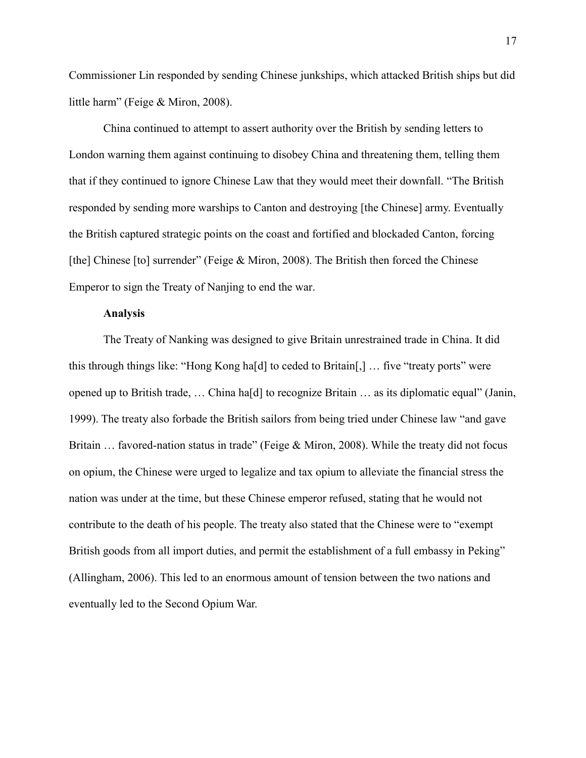Commissioner Lin responded by sending Chinese junkships, which attacked British ships but did little harm" (Feige & Miron, 2008).

China continued to attempt to assert authority over the British by sending letters to London warning them against continuing to disobey China and threatening them, telling them that if they continued to ignore Chinese Law that they would meet their downfall. "The British responded by sending more warships to Canton and destroying [the Chinese] army. Eventually the British captured strategic points on the coast and fortified and blockaded Canton, forcing [the] Chinese [to] surrender" (Feige & Miron, 2008). The British then forced the Chinese Emperor to sign the Treaty of Nanjing to end the war.

## **Analysis**

The Treaty of Nanking was designed to give Britain unrestrained trade in China. It did this through things like: "Hong Kong ha[d] to ceded to Britain[,] … five "treaty ports" were opened up to British trade, … China ha[d] to recognize Britain … as its diplomatic equal" (Janin, 1999). The treaty also forbade the British sailors from being tried under Chinese law "and gave Britain ... favored-nation status in trade" (Feige & Miron, 2008). While the treaty did not focus on opium, the Chinese were urged to legalize and tax opium to alleviate the financial stress the nation was under at the time, but these Chinese emperor refused, stating that he would not contribute to the death of his people. The treaty also stated that the Chinese were to "exempt British goods from all import duties, and permit the establishment of a full embassy in Peking" (Allingham, 2006). This led to an enormous amount of tension between the two nations and eventually led to the Second Opium War.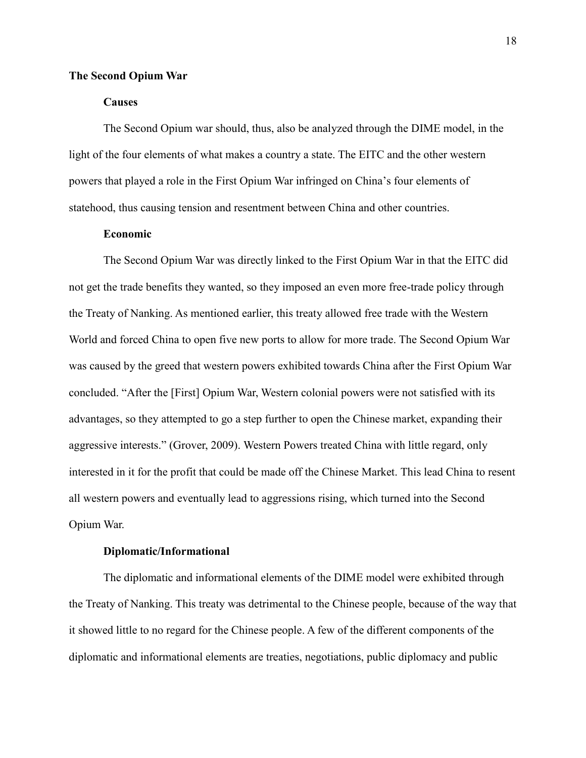#### **The Second Opium War**

# **Causes**

The Second Opium war should, thus, also be analyzed through the DIME model, in the light of the four elements of what makes a country a state. The EITC and the other western powers that played a role in the First Opium War infringed on China's four elements of statehood, thus causing tension and resentment between China and other countries.

# **Economic**

The Second Opium War was directly linked to the First Opium War in that the EITC did not get the trade benefits they wanted, so they imposed an even more free-trade policy through the Treaty of Nanking. As mentioned earlier, this treaty allowed free trade with the Western World and forced China to open five new ports to allow for more trade. The Second Opium War was caused by the greed that western powers exhibited towards China after the First Opium War concluded. "After the [First] Opium War, Western colonial powers were not satisfied with its advantages, so they attempted to go a step further to open the Chinese market, expanding their aggressive interests." (Grover, 2009). Western Powers treated China with little regard, only interested in it for the profit that could be made off the Chinese Market. This lead China to resent all western powers and eventually lead to aggressions rising, which turned into the Second Opium War.

#### **Diplomatic/Informational**

The diplomatic and informational elements of the DIME model were exhibited through the Treaty of Nanking. This treaty was detrimental to the Chinese people, because of the way that it showed little to no regard for the Chinese people. A few of the different components of the diplomatic and informational elements are treaties, negotiations, public diplomacy and public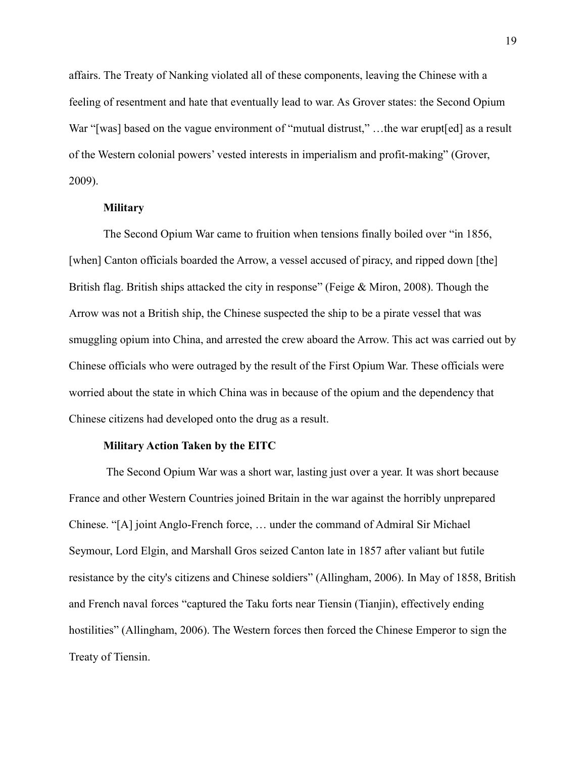affairs. The Treaty of Nanking violated all of these components, leaving the Chinese with a feeling of resentment and hate that eventually lead to war. As Grover states: the Second Opium War "[was] based on the vague environment of "mutual distrust,"...the war erupt[ed] as a result of the Western colonial powers' vested interests in imperialism and profit-making" (Grover, 2009).

#### **Military**

The Second Opium War came to fruition when tensions finally boiled over "in 1856, [when] Canton officials boarded the Arrow, a vessel accused of piracy, and ripped down [the] British flag. British ships attacked the city in response" (Feige & Miron, 2008). Though the Arrow was not a British ship, the Chinese suspected the ship to be a pirate vessel that was smuggling opium into China, and arrested the crew aboard the Arrow. This act was carried out by Chinese officials who were outraged by the result of the First Opium War. These officials were worried about the state in which China was in because of the opium and the dependency that Chinese citizens had developed onto the drug as a result.

## **Military Action Taken by the EITC**

The Second Opium War was a short war, lasting just over a year. It was short because France and other Western Countries joined Britain in the war against the horribly unprepared Chinese. "[A] joint Anglo-French force, … under the command of Admiral Sir Michael Seymour, Lord Elgin, and Marshall Gros seized Canton late in 1857 after valiant but futile resistance by the city's citizens and Chinese soldiers" (Allingham, 2006). In May of 1858, British and French naval forces "captured the Taku forts near Tiensin (Tianjin), effectively ending hostilities" (Allingham, 2006). The Western forces then forced the Chinese Emperor to sign the Treaty of Tiensin.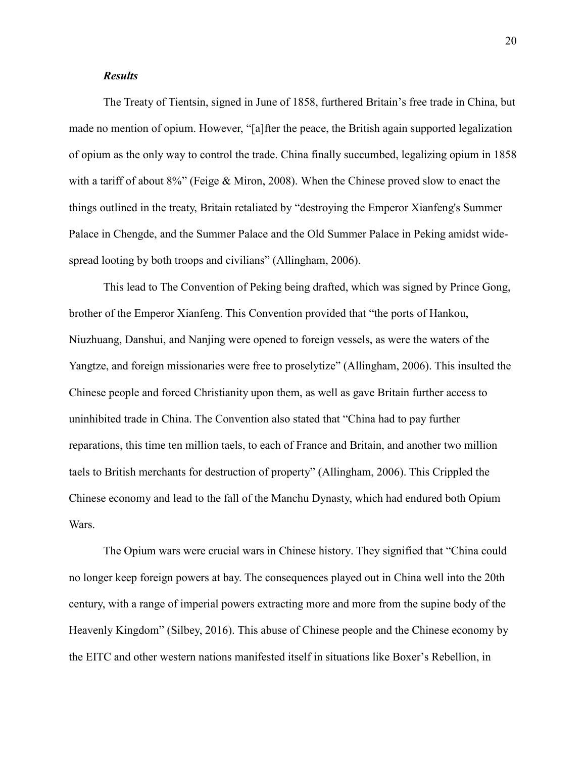# *Results*

The Treaty of Tientsin, signed in June of 1858, furthered Britain's free trade in China, but made no mention of opium. However, "[a]fter the peace, the British again supported legalization of opium as the only way to control the trade. China finally succumbed, legalizing opium in 1858 with a tariff of about 8%" (Feige & Miron, 2008). When the Chinese proved slow to enact the things outlined in the treaty, Britain retaliated by "destroying the Emperor Xianfeng's Summer Palace in Chengde, and the Summer Palace and the Old Summer Palace in Peking amidst widespread looting by both troops and civilians" (Allingham, 2006).

This lead to The Convention of Peking being drafted, which was signed by Prince Gong, brother of the Emperor Xianfeng. This Convention provided that "the ports of Hankou, Niuzhuang, Danshui, and Nanjing were opened to foreign vessels, as were the waters of the Yangtze, and foreign missionaries were free to proselytize" (Allingham, 2006). This insulted the Chinese people and forced Christianity upon them, as well as gave Britain further access to uninhibited trade in China. The Convention also stated that "China had to pay further reparations, this time ten million taels, to each of France and Britain, and another two million taels to British merchants for destruction of property" (Allingham, 2006). This Crippled the Chinese economy and lead to the fall of the Manchu Dynasty, which had endured both Opium Wars.

The Opium wars were crucial wars in Chinese history. They signified that "China could no longer keep foreign powers at bay. The consequences played out in China well into the 20th century, with a range of imperial powers extracting more and more from the supine body of the Heavenly Kingdom" (Silbey, 2016). This abuse of Chinese people and the Chinese economy by the EITC and other western nations manifested itself in situations like Boxer's Rebellion, in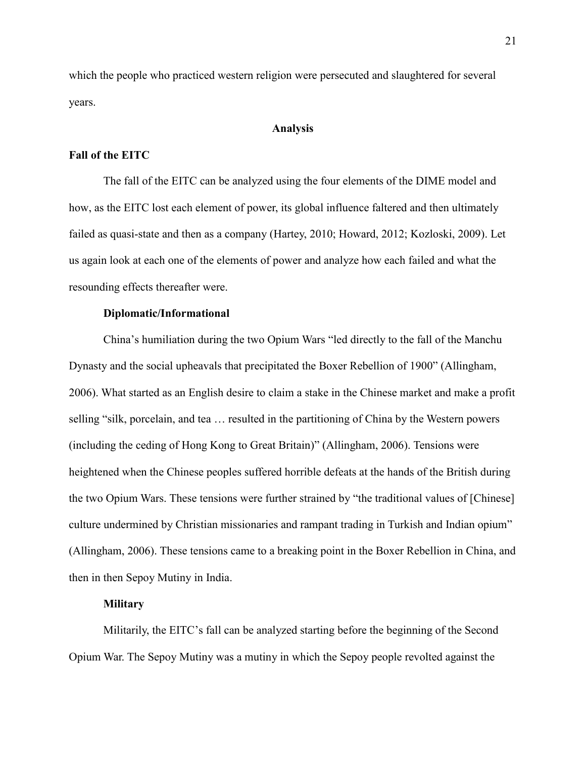which the people who practiced western religion were persecuted and slaughtered for several years.

# **Analysis**

# **Fall of the EITC**

The fall of the EITC can be analyzed using the four elements of the DIME model and how, as the EITC lost each element of power, its global influence faltered and then ultimately failed as quasi-state and then as a company (Hartey, 2010; Howard, 2012; Kozloski, 2009). Let us again look at each one of the elements of power and analyze how each failed and what the resounding effects thereafter were.

## **Diplomatic/Informational**

China's humiliation during the two Opium Wars "led directly to the fall of the Manchu Dynasty and the social upheavals that precipitated the Boxer Rebellion of 1900" (Allingham, 2006). What started as an English desire to claim a stake in the Chinese market and make a profit selling "silk, porcelain, and tea … resulted in the partitioning of China by the Western powers (including the ceding of Hong Kong to Great Britain)" (Allingham, 2006). Tensions were heightened when the Chinese peoples suffered horrible defeats at the hands of the British during the two Opium Wars. These tensions were further strained by "the traditional values of [Chinese] culture undermined by Christian missionaries and rampant trading in Turkish and Indian opium" (Allingham, 2006). These tensions came to a breaking point in the Boxer Rebellion in China, and then in then Sepoy Mutiny in India.

#### **Military**

Militarily, the EITC's fall can be analyzed starting before the beginning of the Second Opium War. The Sepoy Mutiny was a mutiny in which the Sepoy people revolted against the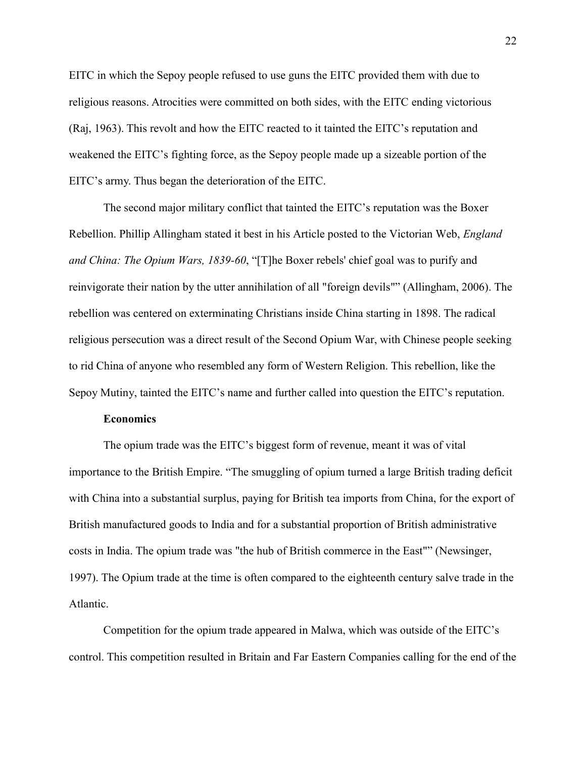EITC in which the Sepoy people refused to use guns the EITC provided them with due to religious reasons. Atrocities were committed on both sides, with the EITC ending victorious (Raj, 1963). This revolt and how the EITC reacted to it tainted the EITC's reputation and weakened the EITC's fighting force, as the Sepoy people made up a sizeable portion of the EITC's army. Thus began the deterioration of the EITC.

The second major military conflict that tainted the EITC's reputation was the Boxer Rebellion. Phillip Allingham stated it best in his Article posted to the Victorian Web, *England and China: The Opium Wars, 1839-60*, "[T]he Boxer rebels' chief goal was to purify and reinvigorate their nation by the utter annihilation of all "foreign devils"" (Allingham, 2006). The rebellion was centered on exterminating Christians inside China starting in 1898. The radical religious persecution was a direct result of the Second Opium War, with Chinese people seeking to rid China of anyone who resembled any form of Western Religion. This rebellion, like the Sepoy Mutiny, tainted the EITC's name and further called into question the EITC's reputation.

# **Economics**

The opium trade was the EITC's biggest form of revenue, meant it was of vital importance to the British Empire. "The smuggling of opium turned a large British trading deficit with China into a substantial surplus, paying for British tea imports from China, for the export of British manufactured goods to India and for a substantial proportion of British administrative costs in India. The opium trade was "the hub of British commerce in the East"" (Newsinger, 1997). The Opium trade at the time is often compared to the eighteenth century salve trade in the Atlantic.

Competition for the opium trade appeared in Malwa, which was outside of the EITC's control. This competition resulted in Britain and Far Eastern Companies calling for the end of the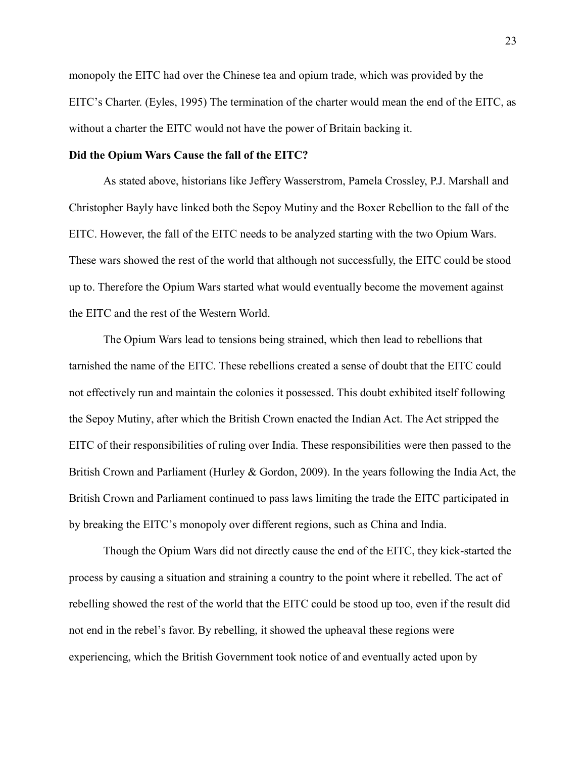monopoly the EITC had over the Chinese tea and opium trade, which was provided by the EITC's Charter. (Eyles, 1995) The termination of the charter would mean the end of the EITC, as without a charter the EITC would not have the power of Britain backing it.

# **Did the Opium Wars Cause the fall of the EITC?**

As stated above, historians like Jeffery Wasserstrom, Pamela Crossley, P.J. Marshall and Christopher Bayly have linked both the Sepoy Mutiny and the Boxer Rebellion to the fall of the EITC. However, the fall of the EITC needs to be analyzed starting with the two Opium Wars. These wars showed the rest of the world that although not successfully, the EITC could be stood up to. Therefore the Opium Wars started what would eventually become the movement against the EITC and the rest of the Western World.

The Opium Wars lead to tensions being strained, which then lead to rebellions that tarnished the name of the EITC. These rebellions created a sense of doubt that the EITC could not effectively run and maintain the colonies it possessed. This doubt exhibited itself following the Sepoy Mutiny, after which the British Crown enacted the Indian Act. The Act stripped the EITC of their responsibilities of ruling over India. These responsibilities were then passed to the British Crown and Parliament (Hurley & Gordon, 2009). In the years following the India Act, the British Crown and Parliament continued to pass laws limiting the trade the EITC participated in by breaking the EITC's monopoly over different regions, such as China and India.

Though the Opium Wars did not directly cause the end of the EITC, they kick-started the process by causing a situation and straining a country to the point where it rebelled. The act of rebelling showed the rest of the world that the EITC could be stood up too, even if the result did not end in the rebel's favor. By rebelling, it showed the upheaval these regions were experiencing, which the British Government took notice of and eventually acted upon by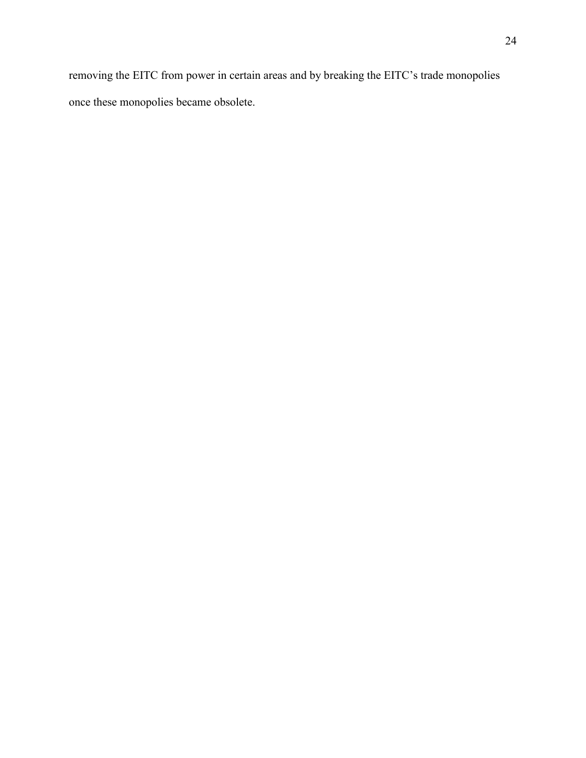removing the EITC from power in certain areas and by breaking the EITC's trade monopolies once these monopolies became obsolete.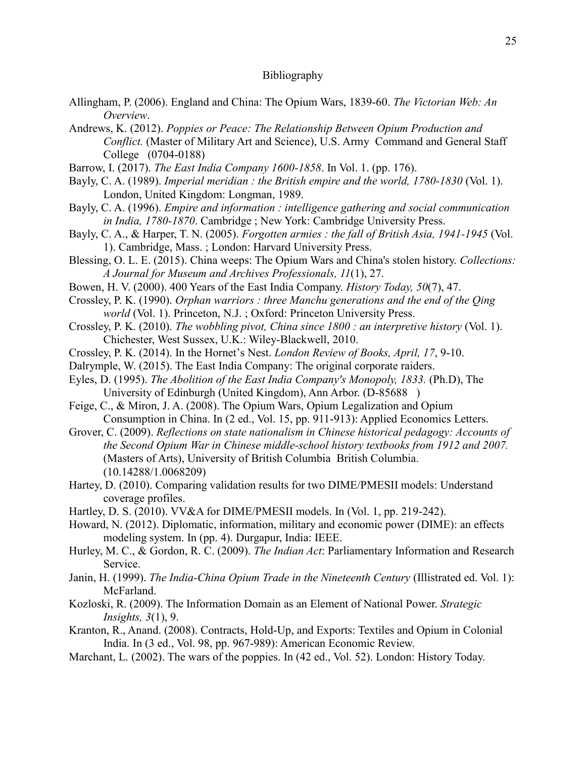#### Bibliography

- Allingham, P. (2006). England and China: The Opium Wars, 1839-60. *The Victorian Web: An Overview*.
- Andrews, K. (2012). *Poppies or Peace: The Relationship Between Opium Production and Conflict.* (Master of Military Art and Science), U.S. Army Command and General Staff College (0704-0188)
- Barrow, I. (2017). *The East India Company 1600-1858*. In Vol. 1. (pp. 176).
- Bayly, C. A. (1989). *Imperial meridian : the British empire and the world, 1780-1830* (Vol. 1). London, United Kingdom: Longman, 1989.
- Bayly, C. A. (1996). *Empire and information : intelligence gathering and social communication in India, 1780-1870*. Cambridge ; New York: Cambridge University Press.
- Bayly, C. A., & Harper, T. N. (2005). *Forgotten armies : the fall of British Asia, 1941-1945* (Vol. 1). Cambridge, Mass. ; London: Harvard University Press.
- Blessing, O. L. E. (2015). China weeps: The Opium Wars and China's stolen history. *Collections: A Journal for Museum and Archives Professionals, 11*(1), 27.
- Bowen, H. V. (2000). 400 Years of the East India Company. *History Today, 50*(7), 47.
- Crossley, P. K. (1990). *Orphan warriors : three Manchu generations and the end of the Qing world* (Vol. 1). Princeton, N.J. ; Oxford: Princeton University Press.
- Crossley, P. K. (2010). *The wobbling pivot, China since 1800 : an interpretive history* (Vol. 1). Chichester, West Sussex, U.K.: Wiley-Blackwell, 2010.
- Crossley, P. K. (2014). In the Hornet's Nest. *London Review of Books, April, 17*, 9-10.
- Dalrymple, W. (2015). The East India Company: The original corporate raiders.
- Eyles, D. (1995). *The Abolition of the East India Company's Monopoly, 1833.* (Ph.D), The University of Edinburgh (United Kingdom), Ann Arbor. (D-85688 )
- Feige, C., & Miron, J. A. (2008). The Opium Wars, Opium Legalization and Opium Consumption in China. In (2 ed., Vol. 15, pp. 911-913): Applied Economics Letters.
- Grover, C. (2009). *Reflections on state nationalism in Chinese historical pedagogy: Accounts of the Second Opium War in Chinese middle-school history textbooks from 1912 and 2007.* (Masters of Arts), University of British Columbia British Columbia. (10.14288/1.0068209)
- Hartey, D. (2010). Comparing validation results for two DIME/PMESII models: Understand coverage profiles.
- Hartley, D. S. (2010). VV&A for DIME/PMESII models. In (Vol. 1, pp. 219-242).
- Howard, N. (2012). Diplomatic, information, military and economic power (DIME): an effects modeling system. In (pp. 4). Durgapur, India: IEEE.
- Hurley, M. C., & Gordon, R. C. (2009). *The Indian Act*: Parliamentary Information and Research Service.
- Janin, H. (1999). *The India-China Opium Trade in the Nineteenth Century* (Illistrated ed. Vol. 1): McFarland.
- Kozloski, R. (2009). The Information Domain as an Element of National Power. *Strategic Insights, 3*(1), 9.
- Kranton, R., Anand. (2008). Contracts, Hold-Up, and Exports: Textiles and Opium in Colonial India. In (3 ed., Vol. 98, pp. 967-989): American Economic Review.
- Marchant, L. (2002). The wars of the poppies. In (42 ed., Vol. 52). London: History Today.